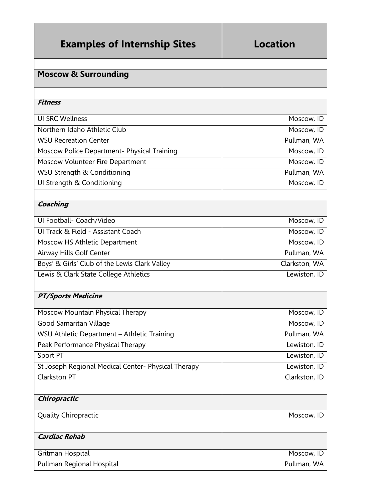| <b>Examples of Internship Sites</b>                 | Location      |
|-----------------------------------------------------|---------------|
| <b>Moscow &amp; Surrounding</b>                     |               |
|                                                     |               |
| <b>Fitness</b>                                      |               |
|                                                     |               |
| <b>UI SRC Wellness</b>                              | Moscow, ID    |
| Northern Idaho Athletic Club                        | Moscow, ID    |
| <b>WSU Recreation Center</b>                        | Pullman, WA   |
| Moscow Police Department- Physical Training         | Moscow, ID    |
| Moscow Volunteer Fire Department                    | Moscow, ID    |
| WSU Strength & Conditioning                         | Pullman, WA   |
| UI Strength & Conditioning                          | Moscow, ID    |
| Coaching                                            |               |
| Ul Football- Coach/Video                            | Moscow, ID    |
| UI Track & Field - Assistant Coach                  | Moscow, ID    |
| Moscow HS Athletic Department                       | Moscow, ID    |
| Airway Hills Golf Center                            | Pullman, WA   |
| Boys' & Girls' Club of the Lewis Clark Valley       | Clarkston, WA |
| Lewis & Clark State College Athletics               | Lewiston, ID  |
|                                                     |               |
| <b>PT/Sports Medicine</b>                           |               |
| Moscow Mountain Physical Therapy                    | Moscow, ID    |
| Good Samaritan Village                              | Moscow, ID    |
| WSU Athletic Department - Athletic Training         | Pullman, WA   |
| Peak Performance Physical Therapy                   | Lewiston, ID  |
| Sport PT                                            | Lewiston, ID  |
| St Joseph Regional Medical Center- Physical Therapy | Lewiston, ID  |
| Clarkston PT                                        | Clarkston, ID |
|                                                     |               |
| Chiropractic                                        |               |
| Quality Chiropractic                                | Moscow, ID    |
|                                                     |               |
| <b>Cardiac Rehab</b>                                |               |
| Gritman Hospital                                    | Moscow, ID    |
| Pullman Regional Hospital                           | Pullman, WA   |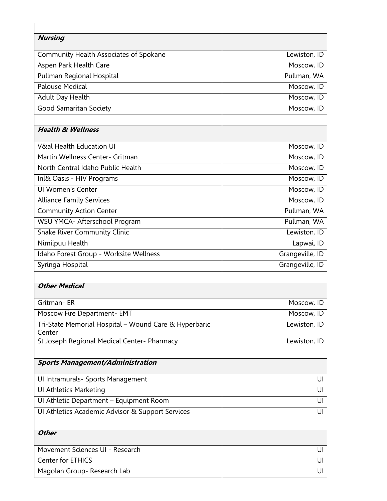| <b>Nursing</b>                                                  |                 |
|-----------------------------------------------------------------|-----------------|
| <b>Community Health Associates of Spokane</b>                   | Lewiston, ID    |
| Aspen Park Health Care                                          | Moscow, ID      |
| Pullman Regional Hospital                                       | Pullman, WA     |
| <b>Palouse Medical</b>                                          | Moscow, ID      |
| Adult Day Health                                                | Moscow, ID      |
| <b>Good Samaritan Society</b>                                   | Moscow, ID      |
| <b>Health &amp; Wellness</b>                                    |                 |
| V&al Health Education UI                                        | Moscow, ID      |
| Martin Wellness Center- Gritman                                 | Moscow, ID      |
| North Central Idaho Public Health                               | Moscow, ID      |
| Inl& Oasis - HIV Programs                                       | Moscow, ID      |
| <b>UI Women's Center</b>                                        | Moscow, ID      |
| <b>Alliance Family Services</b>                                 | Moscow, ID      |
| <b>Community Action Center</b>                                  | Pullman, WA     |
| WSU YMCA- Afterschool Program                                   | Pullman, WA     |
| Snake River Community Clinic                                    | Lewiston, ID    |
| Nimiipuu Health                                                 | Lapwai, ID      |
| Idaho Forest Group - Worksite Wellness                          | Grangeville, ID |
| Syringa Hospital                                                | Grangeville, ID |
|                                                                 |                 |
| <b>Other Medical</b>                                            |                 |
| Gritman-ER                                                      | Moscow, ID      |
| Moscow Fire Department- EMT                                     | Moscow, ID      |
| Tri-State Memorial Hospital - Wound Care & Hyperbaric<br>Center | Lewiston, ID    |
| St Joseph Regional Medical Center- Pharmacy                     | Lewiston, ID    |
|                                                                 |                 |
| <b>Sports Management/Administration</b>                         |                 |
| UI Intramurals- Sports Management                               | UI              |
| <b>UI Athletics Marketing</b>                                   | UI              |
| Ul Athletic Department - Equipment Room                         | UI              |
| Ul Athletics Academic Advisor & Support Services                | UI              |
|                                                                 |                 |
| <b>Other</b>                                                    |                 |
| Movement Sciences UI - Research                                 | UI              |
| Center for ETHICS                                               | UI              |
| Magolan Group-Research Lab                                      | UI              |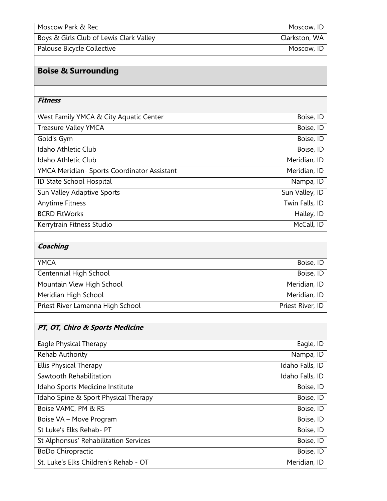| Moscow Park & Rec                           | Moscow, ID       |
|---------------------------------------------|------------------|
| Boys & Girls Club of Lewis Clark Valley     | Clarkston, WA    |
| Palouse Bicycle Collective                  | Moscow, ID       |
|                                             |                  |
| <b>Boise &amp; Surrounding</b>              |                  |
|                                             |                  |
| <b>Fitness</b>                              |                  |
| West Family YMCA & City Aquatic Center      | Boise, ID        |
| Treasure Valley YMCA                        | Boise, ID        |
| Gold's Gym                                  | Boise, ID        |
| Idaho Athletic Club                         | Boise, ID        |
| Idaho Athletic Club                         | Meridian, ID     |
| YMCA Meridian- Sports Coordinator Assistant | Meridian, ID     |
| ID State School Hospital                    | Nampa, ID        |
| Sun Valley Adaptive Sports                  | Sun Valley, ID   |
| <b>Anytime Fitness</b>                      | Twin Falls, ID   |
| <b>BCRD FitWorks</b>                        | Hailey, ID       |
| Kerrytrain Fitness Studio                   | McCall, ID       |
|                                             |                  |
| Coaching                                    |                  |
| <b>YMCA</b>                                 | Boise, ID        |
| Centennial High School                      | Boise, ID        |
| Mountain View High School                   | Meridian, ID     |
| Meridian High School                        | Meridian, ID     |
| Priest River Lamanna High School            | Priest River, ID |
|                                             |                  |
| PT, OT, Chiro & Sports Medicine             |                  |
| Eagle Physical Therapy                      | Eagle, ID        |
| <b>Rehab Authority</b>                      | Nampa, ID        |
| <b>Ellis Physical Therapy</b>               | Idaho Falls, ID  |
| Sawtooth Rehabilitation                     | Idaho Falls, ID  |
| Idaho Sports Medicine Institute             | Boise, ID        |
| Idaho Spine & Sport Physical Therapy        | Boise, ID        |
| Boise VAMC, PM & RS                         | Boise, ID        |
| Boise VA - Move Program                     | Boise, ID        |
| St Luke's Elks Rehab- PT                    | Boise, ID        |
| St Alphonsus' Rehabilitation Services       | Boise, ID        |
| <b>BoDo Chiropractic</b>                    | Boise, ID        |
| St. Luke's Elks Children's Rehab - OT       | Meridian, ID     |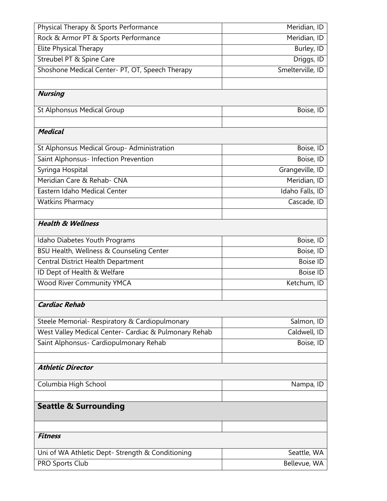| Physical Therapy & Sports Performance                 | Meridian, ID     |
|-------------------------------------------------------|------------------|
| Rock & Armor PT & Sports Performance                  | Meridian, ID     |
| Elite Physical Therapy                                | Burley, ID       |
| Streubel PT & Spine Care                              | Driggs, ID       |
| Shoshone Medical Center- PT, OT, Speech Therapy       | Smelterville, ID |
|                                                       |                  |
| <b>Nursing</b>                                        |                  |
| <b>St Alphonsus Medical Group</b>                     | Boise, ID        |
|                                                       |                  |
| <b>Medical</b>                                        |                  |
| St Alphonsus Medical Group- Administration            | Boise, ID        |
| Saint Alphonsus- Infection Prevention                 | Boise, ID        |
| Syringa Hospital                                      | Grangeville, ID  |
| Meridian Care & Rehab- CNA                            | Meridian, ID     |
| Eastern Idaho Medical Center                          | Idaho Falls, ID  |
| <b>Watkins Pharmacy</b>                               | Cascade, ID      |
|                                                       |                  |
| <b>Health &amp; Wellness</b>                          |                  |
| Idaho Diabetes Youth Programs                         | Boise, ID        |
| BSU Health, Wellness & Counseling Center              | Boise, ID        |
| Central District Health Department                    | <b>Boise ID</b>  |
| ID Dept of Health & Welfare                           | <b>Boise ID</b>  |
| <b>Wood River Community YMCA</b>                      | Ketchum, ID      |
|                                                       |                  |
| Cardiac Rehab                                         |                  |
| Steele Memorial- Respiratory & Cardiopulmonary        | Salmon, ID       |
| West Valley Medical Center- Cardiac & Pulmonary Rehab | Caldwell, ID     |
| Saint Alphonsus- Cardiopulmonary Rehab                | Boise, ID        |
|                                                       |                  |
| <b>Athletic Director</b>                              |                  |
| Columbia High School                                  | Nampa, ID        |
|                                                       |                  |
| <b>Seattle &amp; Surrounding</b>                      |                  |
|                                                       |                  |
| <b>Fitness</b>                                        |                  |
| Uni of WA Athletic Dept- Strength & Conditioning      | Seattle, WA      |
| PRO Sports Club                                       | Bellevue, WA     |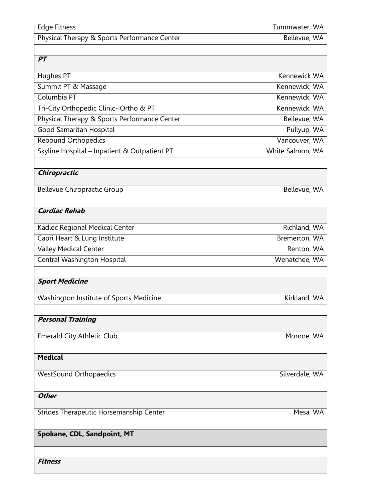| <b>Edge Fitness</b>                          | Tummwater, WA    |
|----------------------------------------------|------------------|
| Physical Therapy & Sports Performance Center | Bellevue, WA     |
|                                              |                  |
| PT                                           |                  |
| Hughes PT                                    | Kennewick WA     |
| Summit PT & Massage                          | Kennewick, WA    |
| Columbia PT                                  | Kennewick, WA    |
| Tri-City Orthopedic Clinic- Ortho & PT       | Kennewick, WA    |
| Physical Therapy & Sports Performance Center | Bellevue, WA     |
| Good Samaritan Hospital                      | Pullyup, WA      |
| <b>Rebound Orthopedics</b>                   | Vancouver, WA    |
| Skyline Hospital - Inpatient & Outpatient PT | White Salmon, WA |
|                                              |                  |
| Chiropractic                                 |                  |
| <b>Bellevue Chiropractic Group</b>           | Bellevue, WA     |
|                                              |                  |
| <b>Cardiac Rehab</b>                         |                  |
| Kadlec Regional Medical Center               | Richland, WA     |
| Capri Heart & Lung Institute                 | Bremerton, WA    |
| <b>Valley Medical Center</b>                 | Renton, WA       |
| Central Washington Hospital                  | Wenatchee, WA    |
|                                              |                  |
| <b>Sport Medicine</b>                        |                  |
| Washington Institute of Sports Medicine      | Kirkland, WA     |
|                                              |                  |
| <b>Personal Training</b>                     |                  |
|                                              |                  |
| <b>Emerald City Athletic Club</b>            | Monroe, WA       |
|                                              |                  |
| <b>Medical</b>                               |                  |
| <b>WestSound Orthopaedics</b>                | Silverdale, WA   |
|                                              |                  |
| <b>Other</b>                                 |                  |
| Strides Therapeutic Horsemanship Center      | Mesa, WA         |
|                                              |                  |
| Spokane, CDL, Sandpoint, MT                  |                  |
|                                              |                  |
| <b>Fitness</b>                               |                  |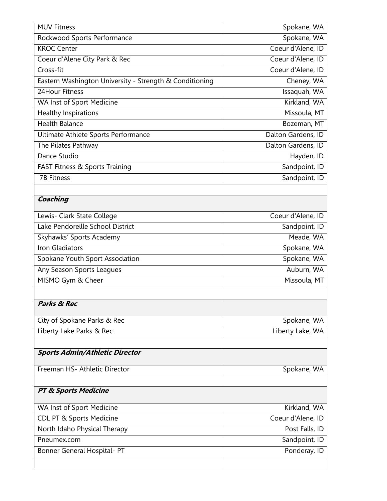| <b>MUV</b> Fitness                                      | Spokane, WA        |
|---------------------------------------------------------|--------------------|
| Rockwood Sports Performance                             | Spokane, WA        |
| <b>KROC Center</b>                                      | Coeur d'Alene, ID  |
| Coeur d'Alene City Park & Rec                           | Coeur d'Alene, ID  |
| Cross-fit                                               | Coeur d'Alene, ID  |
| Eastern Washington University - Strength & Conditioning | Cheney, WA         |
| 24Hour Fitness                                          | Issaquah, WA       |
| WA Inst of Sport Medicine                               | Kirkland, WA       |
| <b>Healthy Inspirations</b>                             | Missoula, MT       |
| <b>Health Balance</b>                                   | Bozeman, MT        |
| Ultimate Athlete Sports Performance                     | Dalton Gardens, ID |
| The Pilates Pathway                                     | Dalton Gardens, ID |
| Dance Studio                                            | Hayden, ID         |
| FAST Fitness & Sports Training                          | Sandpoint, ID      |
| <b>7B Fitness</b>                                       | Sandpoint, ID      |
|                                                         |                    |
| Coaching                                                |                    |
| Lewis- Clark State College                              | Coeur d'Alene, ID  |
| Lake Pendoreille School District                        | Sandpoint, ID      |
| Skyhawks' Sports Academy                                | Meade, WA          |
| Iron Gladiators                                         | Spokane, WA        |
| Spokane Youth Sport Association                         | Spokane, WA        |
| Any Season Sports Leagues                               | Auburn, WA         |
| MISMO Gym & Cheer                                       | Missoula, MT       |
|                                                         |                    |
| <b>Parks &amp; Rec</b>                                  |                    |
| City of Spokane Parks & Rec                             | Spokane, WA        |
| Liberty Lake Parks & Rec                                | Liberty Lake, WA   |
|                                                         |                    |
| <b>Sports Admin/Athletic Director</b>                   |                    |
| Freeman HS- Athletic Director                           | Spokane, WA        |
|                                                         |                    |
| <b>PT &amp; Sports Medicine</b>                         |                    |
| WA Inst of Sport Medicine                               | Kirkland, WA       |
| <b>CDL PT &amp; Sports Medicine</b>                     | Coeur d'Alene, ID  |
| North Idaho Physical Therapy                            | Post Falls, ID     |
| Pneumex.com                                             | Sandpoint, ID      |
| Bonner General Hospital- PT                             | Ponderay, ID       |
|                                                         |                    |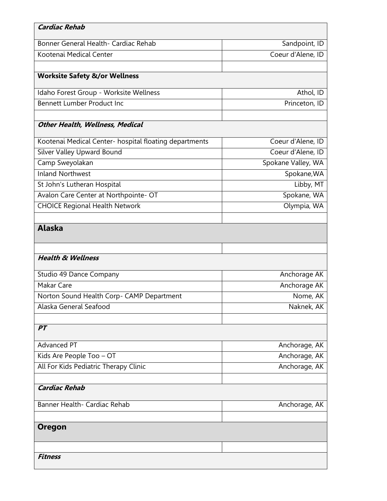| <b>Cardiac Rehab</b>                                   |                    |
|--------------------------------------------------------|--------------------|
| Bonner General Health- Cardiac Rehab                   | Sandpoint, ID      |
| Kootenai Medical Center                                | Coeur d'Alene, ID  |
|                                                        |                    |
| <b>Worksite Safety &amp;/or Wellness</b>               |                    |
| Idaho Forest Group - Worksite Wellness                 | Athol, ID          |
| <b>Bennett Lumber Product Inc</b>                      | Princeton, ID      |
|                                                        |                    |
| <b>Other Health, Wellness, Medical</b>                 |                    |
| Kootenai Medical Center- hospital floating departments | Coeur d'Alene, ID  |
| Silver Valley Upward Bound                             | Coeur d'Alene, ID  |
| Camp Sweyolakan                                        | Spokane Valley, WA |
| <b>Inland Northwest</b>                                | Spokane, WA        |
| St John's Lutheran Hospital                            | Libby, MT          |
| Avalon Care Center at Northpointe- OT                  | Spokane, WA        |
| <b>CHOICE Regional Health Network</b>                  | Olympia, WA        |
|                                                        |                    |
| <b>Alaska</b>                                          |                    |
| <b>Health &amp; Wellness</b>                           |                    |
| Studio 49 Dance Company                                | Anchorage AK       |
| Makar Care                                             | Anchorage AK       |
| Norton Sound Health Corp- CAMP Department              | Nome, AK           |
| Alaska General Seafood                                 | Naknek, AK         |
|                                                        |                    |
| PT                                                     |                    |
| <b>Advanced PT</b>                                     | Anchorage, AK      |
| Kids Are People Too - OT                               | Anchorage, AK      |
| All For Kids Pediatric Therapy Clinic                  | Anchorage, AK      |
|                                                        |                    |
| <b>Cardiac Rehab</b>                                   |                    |
| Banner Health- Cardiac Rehab                           | Anchorage, AK      |
|                                                        |                    |
| Oregon                                                 |                    |
|                                                        |                    |
| <b>Fitness</b>                                         |                    |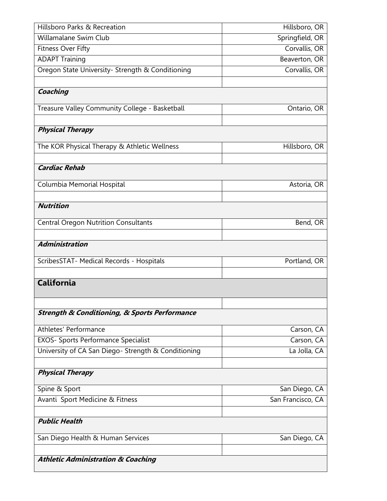| Hillsboro Parks & Recreation                                 | Hillsboro, OR     |
|--------------------------------------------------------------|-------------------|
| Willamalane Swim Club                                        | Springfield, OR   |
| <b>Fitness Over Fifty</b>                                    | Corvallis, OR     |
| <b>ADAPT Training</b>                                        | Beaverton, OR     |
| Oregon State University- Strength & Conditioning             | Corvallis, OR     |
|                                                              |                   |
| Coaching                                                     |                   |
| Treasure Valley Community College - Basketball               | Ontario, OR       |
|                                                              |                   |
| <b>Physical Therapy</b>                                      |                   |
| The KOR Physical Therapy & Athletic Wellness                 | Hillsboro, OR     |
|                                                              |                   |
| <b>Cardiac Rehab</b>                                         |                   |
| Columbia Memorial Hospital                                   | Astoria, OR       |
|                                                              |                   |
| <b>Nutrition</b>                                             |                   |
| <b>Central Oregon Nutrition Consultants</b>                  | Bend, OR          |
|                                                              |                   |
| <b>Administration</b>                                        |                   |
| ScribesSTAT- Medical Records - Hospitals                     | Portland, OR      |
|                                                              |                   |
| <b>California</b>                                            |                   |
|                                                              |                   |
|                                                              |                   |
| <b>Strength &amp; Conditioning, &amp; Sports Performance</b> |                   |
| Athletes' Performance                                        | Carson, CA        |
| <b>EXOS- Sports Performance Specialist</b>                   | Carson, CA        |
| University of CA San Diego- Strength & Conditioning          | La Jolla, CA      |
|                                                              |                   |
| <b>Physical Therapy</b>                                      |                   |
| Spine & Sport                                                | San Diego, CA     |
| Avanti Sport Medicine & Fitness                              | San Francisco, CA |
|                                                              |                   |
| <b>Public Health</b>                                         |                   |
| San Diego Health & Human Services                            | San Diego, CA     |
|                                                              |                   |
| <b>Athletic Administration &amp; Coaching</b>                |                   |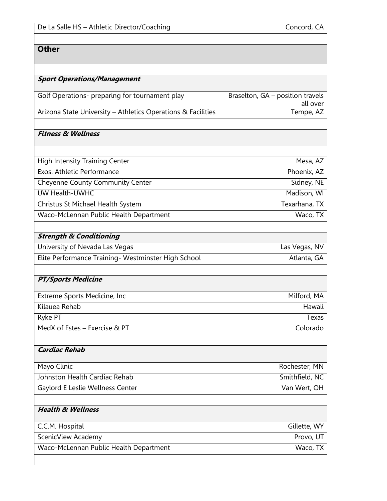| De La Salle HS - Athletic Director/Coaching                  | Concord, CA                                  |
|--------------------------------------------------------------|----------------------------------------------|
|                                                              |                                              |
| <b>Other</b>                                                 |                                              |
|                                                              |                                              |
|                                                              |                                              |
| <b>Sport Operations/Management</b>                           |                                              |
| Golf Operations- preparing for tournament play               | Braselton, GA - position travels<br>all over |
| Arizona State University - Athletics Operations & Facilities | Tempe, AZ                                    |
|                                                              |                                              |
| <b>Fitness &amp; Wellness</b>                                |                                              |
|                                                              |                                              |
| <b>High Intensity Training Center</b>                        | Mesa, AZ                                     |
| Exos. Athletic Performance                                   | Phoenix, AZ                                  |
| Cheyenne County Community Center                             | Sidney, NE                                   |
| UW Health-UWHC                                               | Madison, WI                                  |
| Christus St Michael Health System                            | Texarhana, TX                                |
| Waco-McLennan Public Health Department                       | Waco, TX                                     |
|                                                              |                                              |
| <b>Strength &amp; Conditioning</b>                           |                                              |
| University of Nevada Las Vegas                               | Las Vegas, NV                                |
| Elite Performance Training- Westminster High School          | Atlanta, GA                                  |
|                                                              |                                              |
| <b>PT/Sports Medicine</b>                                    |                                              |
| Extreme Sports Medicine, Inc                                 | Milford, MA                                  |
| Kilauea Rehab                                                | Hawaii                                       |
| Ryke PT                                                      | Texas                                        |
| MedX of Estes - Exercise & PT                                | Colorado                                     |
|                                                              |                                              |
| <b>Cardiac Rehab</b>                                         |                                              |
| Mayo Clinic                                                  | Rochester, MN                                |
| Johnston Health Cardiac Rehab                                | Smithfield, NC                               |
| Gaylord E Leslie Wellness Center                             | Van Wert, OH                                 |
|                                                              |                                              |
| <b>Health &amp; Wellness</b>                                 |                                              |
| C.C.M. Hospital                                              | Gillette, WY                                 |
| ScenicView Academy                                           | Provo, UT                                    |
| Waco-McLennan Public Health Department                       | Waco, TX                                     |
|                                                              |                                              |